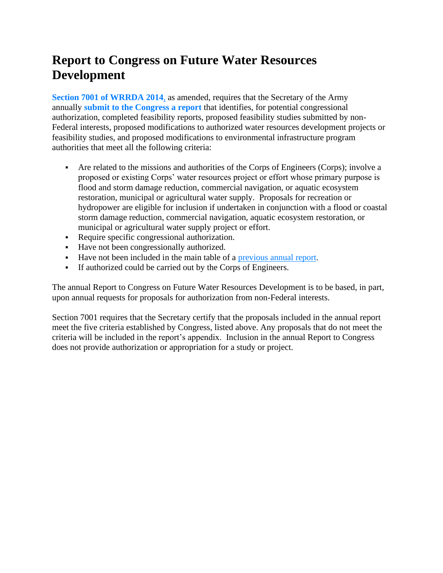## **Report to Congress on Future Water Resources Development**

**Section 7001 of [WRRDA](https://www.law.cornell.edu/uscode/text/33/2282d) 2014**, as amended, requires that the Secretary of the Army annually **submit to the [Congress](https://www.usace.army.mil/Missions/CivilWorks/ProjectPlanning/LegislativeLinks/wrrda2014/wrrda2014_proposals.aspx) a report** that identifies, for potential congressional authorization, completed feasibility reports, proposed feasibility studies submitted by non-Federal interests, proposed modifications to authorized water resources development projects or feasibility studies, and proposed modifications to environmental infrastructure program authorities that meet all the following criteria:

- Are related to the missions and authorities of the Corps of Engineers (Corps); involve a proposed or existing Corps' water resources project or effort whose primary purpose is flood and storm damage reduction, commercial navigation, or aquatic ecosystem restoration, municipal or agricultural water supply. Proposals for recreation or hydropower are eligible for inclusion if undertaken in conjunction with a flood or coastal storm damage reduction, commercial navigation, aquatic ecosystem restoration, or municipal or agricultural water supply project or effort.
- Require specific congressional authorization.
- Have not been congressionally authorized.
- Have not been included in the main table of a [previous](https://www.usace.army.mil/Missions/Civil-Works/Project-Planning/Legislative-Links/wrrda2014/wrrda2014_proposals/) annual report.
- If authorized could be carried out by the Corps of Engineers.

The annual Report to Congress on Future Water Resources Development is to be based, in part, upon annual requests for proposals for authorization from non-Federal interests.

Section 7001 requires that the Secretary certify that the proposals included in the annual report meet the five criteria established by Congress, listed above. Any proposals that do not meet the criteria will be included in the report's appendix. Inclusion in the annual Report to Congress does not provide authorization or appropriation for a study or project.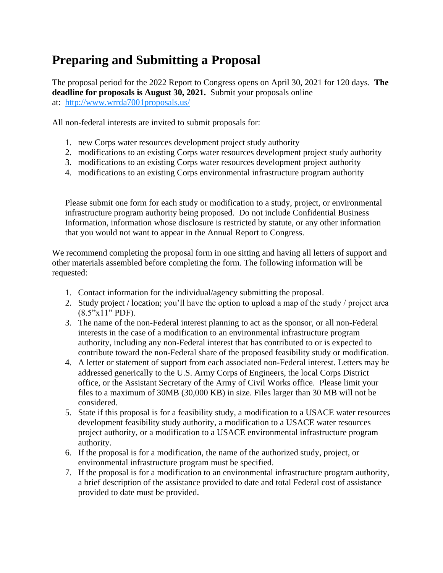## **Preparing and Submitting a Proposal**

The proposal period for the 2022 Report to Congress opens on April 30, 2021 for 120 days. **The deadline for proposals is August 30, 2021.** Submit your proposals online at: <http://www.wrrda7001proposals.us/>

All non-federal interests are invited to submit proposals for:

- 1. new Corps water resources development project study authority
- 2. modifications to an existing Corps water resources development project study authority
- 3. modifications to an existing Corps water resources development project authority
- 4. modifications to an existing Corps environmental infrastructure program authority

Please submit one form for each study or modification to a study, project, or environmental infrastructure program authority being proposed. Do not include Confidential Business Information, information whose disclosure is restricted by statute, or any other information that you would not want to appear in the Annual Report to Congress.

We recommend completing the proposal form in one sitting and having all letters of support and other materials assembled before completing the form. The following information will be requested:

- 1. Contact information for the individual/agency submitting the proposal.
- 2. Study project / location; you'll have the option to upload a map of the study / project area (8.5"x11" PDF).
- 3. The name of the non-Federal interest planning to act as the sponsor, or all non-Federal interests in the case of a modification to an environmental infrastructure program authority, including any non-Federal interest that has contributed to or is expected to contribute toward the non-Federal share of the proposed feasibility study or modification.
- 4. A letter or statement of support from each associated non-Federal interest. Letters may be addressed generically to the U.S. Army Corps of Engineers, the local Corps District office, or the Assistant Secretary of the Army of Civil Works office. Please limit your files to a maximum of 30MB (30,000 KB) in size. Files larger than 30 MB will not be considered.
- 5. State if this proposal is for a feasibility study, a modification to a USACE water resources development feasibility study authority, a modification to a USACE water resources project authority, or a modification to a USACE environmental infrastructure program authority.
- 6. If the proposal is for a modification, the name of the authorized study, project, or environmental infrastructure program must be specified.
- 7. If the proposal is for a modification to an environmental infrastructure program authority, a brief description of the assistance provided to date and total Federal cost of assistance provided to date must be provided.